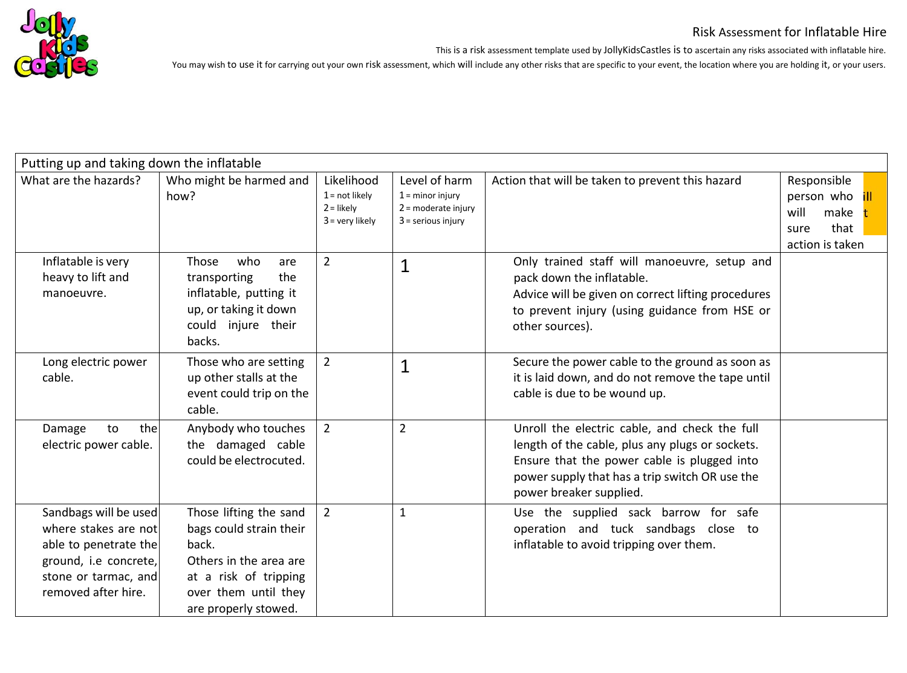

This is a risk assessment template used by JollyKidsCastles is to ascertain any risks associated with inflatable hire.

| Putting up and taking down the inflatable                                                                                                      |                                                                                                                                                               |                                                                     |                                                                                      |                                                                                                                                                                                                                              |                                                                              |
|------------------------------------------------------------------------------------------------------------------------------------------------|---------------------------------------------------------------------------------------------------------------------------------------------------------------|---------------------------------------------------------------------|--------------------------------------------------------------------------------------|------------------------------------------------------------------------------------------------------------------------------------------------------------------------------------------------------------------------------|------------------------------------------------------------------------------|
| What are the hazards?                                                                                                                          | Who might be harmed and<br>how?                                                                                                                               | Likelihood<br>$1 = not likely$<br>$2 =$ likely<br>$3 =$ very likely | Level of harm<br>$1 =$ minor injury<br>$2$ = moderate injury<br>$3$ = serious injury | Action that will be taken to prevent this hazard                                                                                                                                                                             | Responsible<br>person who<br>will<br>make<br>that<br>sure<br>action is taken |
| Inflatable is very<br>heavy to lift and<br>manoeuvre.                                                                                          | who<br>Those<br>are<br>transporting<br>the<br>inflatable, putting it<br>up, or taking it down<br>could injure their<br>backs.                                 | $\overline{2}$                                                      | $\mathbf{1}$                                                                         | Only trained staff will manoeuvre, setup and<br>pack down the inflatable.<br>Advice will be given on correct lifting procedures<br>to prevent injury (using guidance from HSE or<br>other sources).                          |                                                                              |
| Long electric power<br>cable.                                                                                                                  | Those who are setting<br>up other stalls at the<br>event could trip on the<br>cable.                                                                          | $\overline{2}$                                                      | $\mathbf{1}$                                                                         | Secure the power cable to the ground as soon as<br>it is laid down, and do not remove the tape until<br>cable is due to be wound up.                                                                                         |                                                                              |
| to<br>the<br>Damage<br>electric power cable.                                                                                                   | Anybody who touches<br>the damaged cable<br>could be electrocuted.                                                                                            | $2^{\circ}$                                                         | $\overline{2}$                                                                       | Unroll the electric cable, and check the full<br>length of the cable, plus any plugs or sockets.<br>Ensure that the power cable is plugged into<br>power supply that has a trip switch OR use the<br>power breaker supplied. |                                                                              |
| Sandbags will be used<br>where stakes are not<br>able to penetrate the<br>ground, i.e concrete,<br>stone or tarmac, and<br>removed after hire. | Those lifting the sand<br>bags could strain their<br>back.<br>Others in the area are<br>at a risk of tripping<br>over them until they<br>are properly stowed. | $2^{\circ}$                                                         | $\mathbf{1}$                                                                         | Use the supplied sack barrow for safe<br>operation and tuck sandbags close to<br>inflatable to avoid tripping over them.                                                                                                     |                                                                              |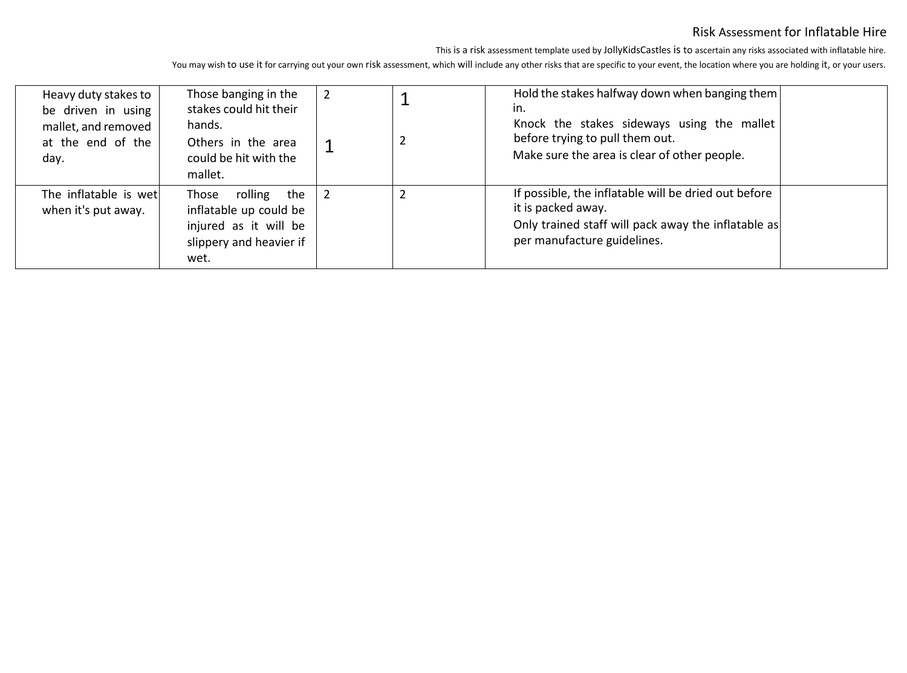This is a risk assessment template used by JollyKidsCastles is to ascertain any risks associated with inflatable hire.

| Heavy duty stakes to<br>be driven in using   | Those banging in the<br>stakes could hit their                                                             |  | Hold the stakes halfway down when banging them<br>in.                                                                                                            |  |
|----------------------------------------------|------------------------------------------------------------------------------------------------------------|--|------------------------------------------------------------------------------------------------------------------------------------------------------------------|--|
| mallet, and removed<br>at the end of the     | hands.<br>Others in the area                                                                               |  | Knock the stakes sideways using the mallet<br>before trying to pull them out.                                                                                    |  |
| day.                                         | could be hit with the<br>mallet.                                                                           |  | Make sure the area is clear of other people.                                                                                                                     |  |
| The inflatable is wet<br>when it's put away. | rolling the<br>Those<br>inflatable up could be<br>injured as it will be<br>slippery and heavier if<br>wet. |  | If possible, the inflatable will be dried out before<br>it is packed away.<br>Only trained staff will pack away the inflatable as<br>per manufacture guidelines. |  |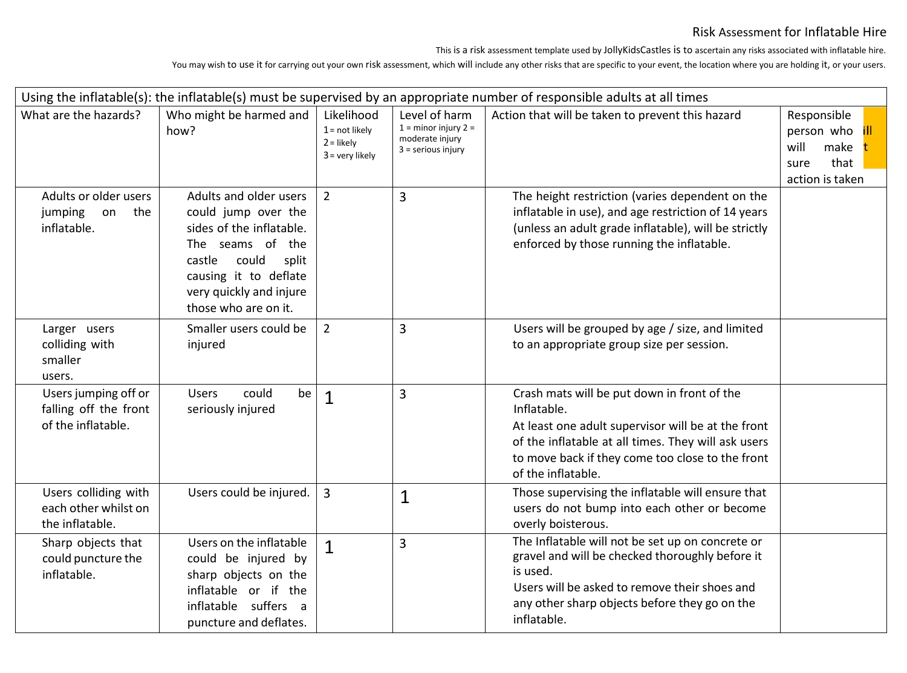This is a risk assessment template used by JollyKidsCastles is to ascertain any risks associated with inflatable hire.

| Using the inflatable(s): the inflatable(s) must be supervised by an appropriate number of responsible adults at all times |                                                                                                                                                                                                       |                                                                     |                                                                                      |                                                                                                                                                                                                                                                   |                                                                              |  |  |
|---------------------------------------------------------------------------------------------------------------------------|-------------------------------------------------------------------------------------------------------------------------------------------------------------------------------------------------------|---------------------------------------------------------------------|--------------------------------------------------------------------------------------|---------------------------------------------------------------------------------------------------------------------------------------------------------------------------------------------------------------------------------------------------|------------------------------------------------------------------------------|--|--|
| What are the hazards?                                                                                                     | Who might be harmed and<br>how?                                                                                                                                                                       | Likelihood<br>$1 = not likely$<br>$2 =$ likely<br>$3 =$ very likely | Level of harm<br>$1 =$ minor injury $2 =$<br>moderate injury<br>$3$ = serious injury | Action that will be taken to prevent this hazard                                                                                                                                                                                                  | Responsible<br>person who<br>will<br>make<br>that<br>sure<br>action is taken |  |  |
| Adults or older users<br>the<br>jumping<br>on<br>inflatable.                                                              | Adults and older users<br>could jump over the<br>sides of the inflatable.<br>The seams of the<br>castle<br>could<br>split<br>causing it to deflate<br>very quickly and injure<br>those who are on it. | $\overline{2}$                                                      | 3                                                                                    | The height restriction (varies dependent on the<br>inflatable in use), and age restriction of 14 years<br>(unless an adult grade inflatable), will be strictly<br>enforced by those running the inflatable.                                       |                                                                              |  |  |
| Larger users<br>colliding with<br>smaller<br>users.                                                                       | Smaller users could be<br>injured                                                                                                                                                                     | $\overline{2}$                                                      | $\overline{3}$                                                                       | Users will be grouped by age / size, and limited<br>to an appropriate group size per session.                                                                                                                                                     |                                                                              |  |  |
| Users jumping off or<br>falling off the front<br>of the inflatable.                                                       | could<br><b>Users</b><br>be<br>seriously injured                                                                                                                                                      | $\mathbf{1}$                                                        | 3                                                                                    | Crash mats will be put down in front of the<br>Inflatable.<br>At least one adult supervisor will be at the front<br>of the inflatable at all times. They will ask users<br>to move back if they come too close to the front<br>of the inflatable. |                                                                              |  |  |
| Users colliding with<br>each other whilst on<br>the inflatable.                                                           | Users could be injured.                                                                                                                                                                               | 3                                                                   | $\mathbf{1}$                                                                         | Those supervising the inflatable will ensure that<br>users do not bump into each other or become<br>overly boisterous.                                                                                                                            |                                                                              |  |  |
| Sharp objects that<br>could puncture the<br>inflatable.                                                                   | Users on the inflatable<br>could be injured by<br>sharp objects on the<br>inflatable or if the<br>inflatable suffers a<br>puncture and deflates.                                                      | $\mathbf{1}$                                                        | 3                                                                                    | The Inflatable will not be set up on concrete or<br>gravel and will be checked thoroughly before it<br>is used.<br>Users will be asked to remove their shoes and<br>any other sharp objects before they go on the<br>inflatable.                  |                                                                              |  |  |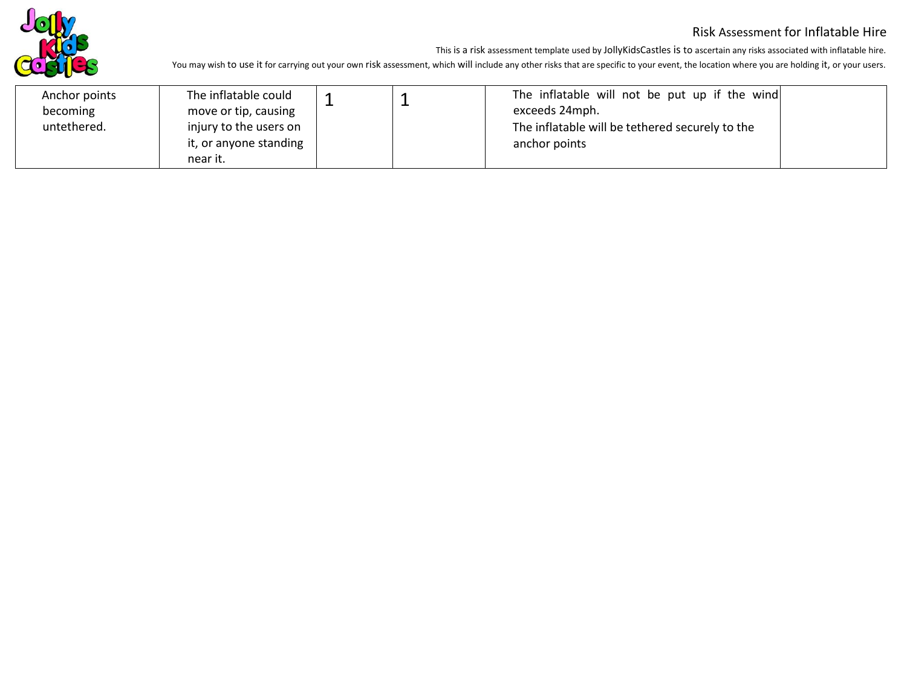

This is a risk assessment template used by JollyKidsCastles is to ascertain any risks associated with inflatable hire.

| Anchor points<br>becoming | The inflatable could<br>move or tip, causing                 |  | The inflatable will not be put up if the wind<br>exceeds 24mph.  |
|---------------------------|--------------------------------------------------------------|--|------------------------------------------------------------------|
| untethered.               | injury to the users on<br>it, or anyone standing<br>near it. |  | The inflatable will be tethered securely to the<br>anchor points |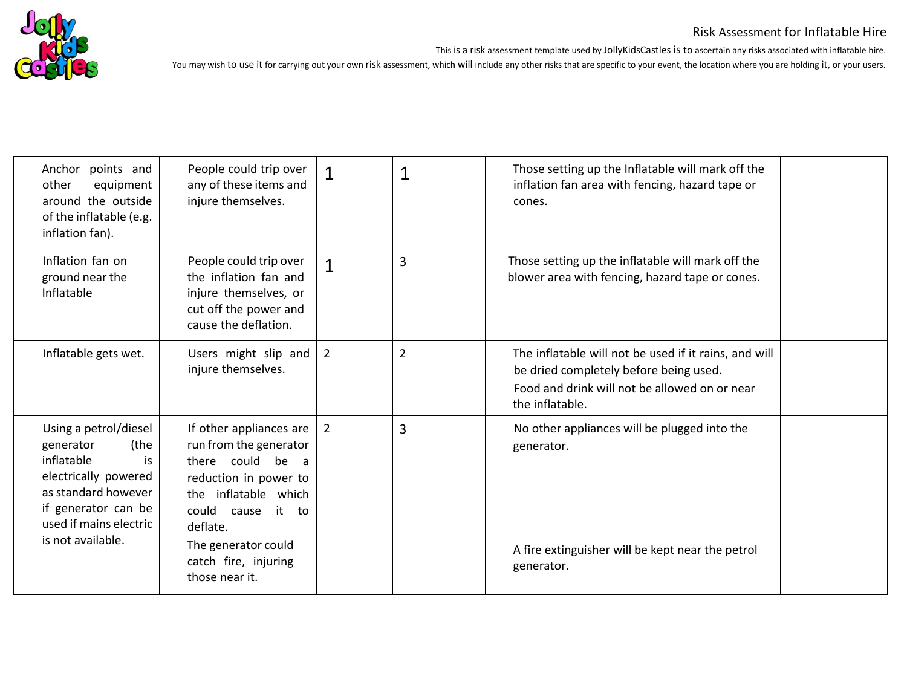

This is a risk assessment template used by JollyKidsCastles is to ascertain any risks associated with inflatable hire. You may wish to use it for carrying out your own risk assessment, which will include any other risks that are specific to your event, the location where you are holding it, or your users.

| Anchor points and<br>other<br>equipment<br>around the outside<br>of the inflatable (e.g.<br>inflation fan).                                                                         | People could trip over<br>any of these items and<br>injure themselves.                                                                                                                                                   | $\mathbf 1$<br>$\mathbf 1$       | Those setting up the Inflatable will mark off the<br>inflation fan area with fencing, hazard tape or<br>cones.                                                      |
|-------------------------------------------------------------------------------------------------------------------------------------------------------------------------------------|--------------------------------------------------------------------------------------------------------------------------------------------------------------------------------------------------------------------------|----------------------------------|---------------------------------------------------------------------------------------------------------------------------------------------------------------------|
| Inflation fan on<br>ground near the<br>Inflatable                                                                                                                                   | People could trip over<br>the inflation fan and<br>injure themselves, or<br>cut off the power and<br>cause the deflation.                                                                                                | $\overline{3}$<br>$\mathbf{1}$   | Those setting up the inflatable will mark off the<br>blower area with fencing, hazard tape or cones.                                                                |
| Inflatable gets wet.                                                                                                                                                                | Users might slip and $ $<br>injure themselves.                                                                                                                                                                           | $\overline{2}$<br>$\overline{2}$ | The inflatable will not be used if it rains, and will<br>be dried completely before being used.<br>Food and drink will not be allowed on or near<br>the inflatable. |
| Using a petrol/diesel<br>(the<br>generator<br>inflatable<br>is<br>electrically powered<br>as standard however<br>if generator can be<br>used if mains electric<br>is not available. | If other appliances are<br>run from the generator<br>there could be a<br>reduction in power to<br>the inflatable which<br>could cause it to<br>deflate.<br>The generator could<br>catch fire, injuring<br>those near it. | $\overline{3}$<br>$\overline{2}$ | No other appliances will be plugged into the<br>generator.<br>A fire extinguisher will be kept near the petrol<br>generator.                                        |